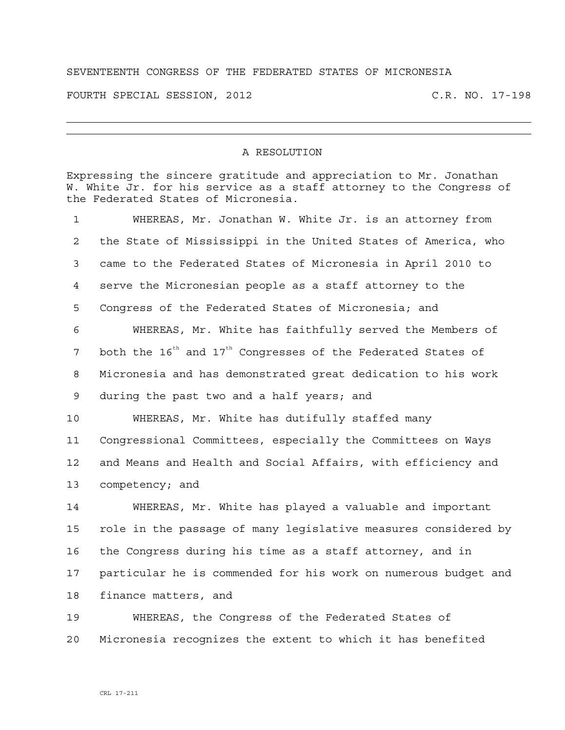## SEVENTEENTH CONGRESS OF THE FEDERATED STATES OF MICRONESIA

FOURTH SPECIAL SESSION, 2012 C.R. NO. 17-198

## A RESOLUTION

Expressing the sincere gratitude and appreciation to Mr. Jonathan W. White Jr. for his service as a staff attorney to the Congress of the Federated States of Micronesia.

| $\mathbf 1$    | WHEREAS, Mr. Jonathan W. White Jr. is an attorney from                               |
|----------------|--------------------------------------------------------------------------------------|
| $\overline{2}$ | the State of Mississippi in the United States of America, who                        |
| 3              | came to the Federated States of Micronesia in April 2010 to                          |
| 4              | serve the Micronesian people as a staff attorney to the                              |
| 5              | Congress of the Federated States of Micronesia; and                                  |
| 6              | WHEREAS, Mr. White has faithfully served the Members of                              |
| 7              | both the 16 <sup>th</sup> and 17 <sup>th</sup> Congresses of the Federated States of |
| 8              | Micronesia and has demonstrated great dedication to his work                         |
| 9              | during the past two and a half years; and                                            |
| 10             | WHEREAS, Mr. White has dutifully staffed many                                        |
| 11             | Congressional Committees, especially the Committees on Ways                          |
| 12             | and Means and Health and Social Affairs, with efficiency and                         |
| 13             | competency; and                                                                      |
| 14             | WHEREAS, Mr. White has played a valuable and important                               |
| 15             | role in the passage of many legislative measures considered by                       |
| 16             | the Congress during his time as a staff attorney, and in                             |
| 17             | particular he is commended for his work on numerous budget and                       |
| 18             | finance matters, and                                                                 |
| 19             | WHEREAS, the Congress of the Federated States of                                     |

20 Micronesia recognizes the extent to which it has benefited